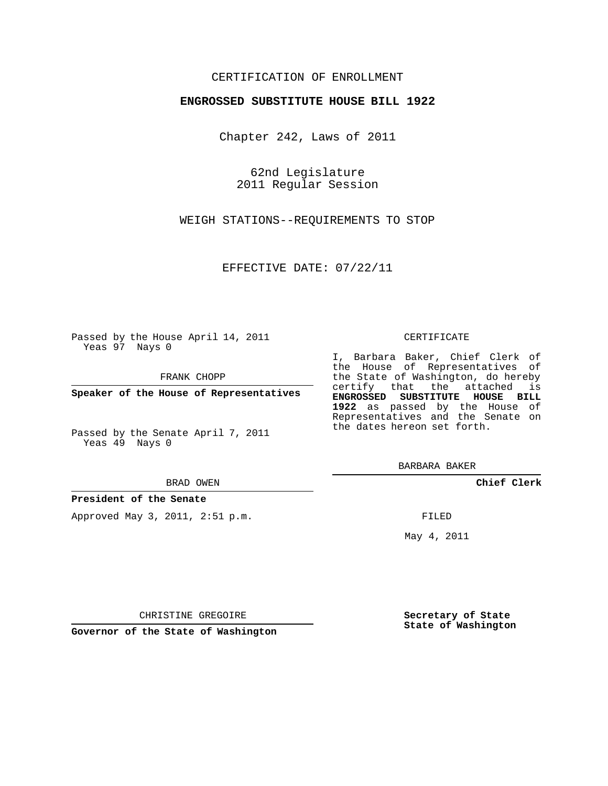## CERTIFICATION OF ENROLLMENT

### **ENGROSSED SUBSTITUTE HOUSE BILL 1922**

Chapter 242, Laws of 2011

62nd Legislature 2011 Regular Session

WEIGH STATIONS--REQUIREMENTS TO STOP

EFFECTIVE DATE: 07/22/11

Passed by the House April 14, 2011 Yeas 97 Nays 0

FRANK CHOPP

**Speaker of the House of Representatives**

Passed by the Senate April 7, 2011 Yeas 49 Nays 0

#### BRAD OWEN

#### **President of the Senate**

Approved May 3, 2011, 2:51 p.m.

#### CERTIFICATE

I, Barbara Baker, Chief Clerk of the House of Representatives of the State of Washington, do hereby certify that the attached is **ENGROSSED SUBSTITUTE HOUSE BILL 1922** as passed by the House of Representatives and the Senate on the dates hereon set forth.

BARBARA BAKER

**Chief Clerk**

FILED

May 4, 2011

**Secretary of State State of Washington**

CHRISTINE GREGOIRE

**Governor of the State of Washington**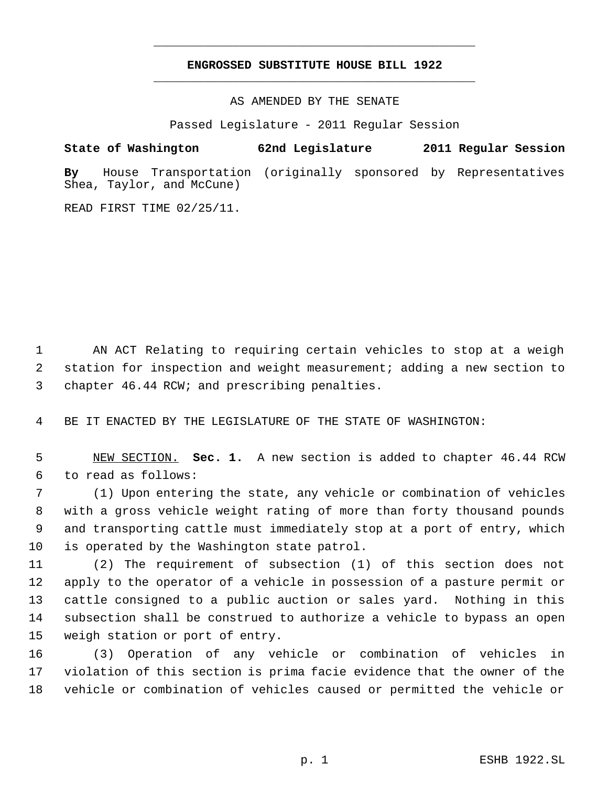# **ENGROSSED SUBSTITUTE HOUSE BILL 1922** \_\_\_\_\_\_\_\_\_\_\_\_\_\_\_\_\_\_\_\_\_\_\_\_\_\_\_\_\_\_\_\_\_\_\_\_\_\_\_\_\_\_\_\_\_

\_\_\_\_\_\_\_\_\_\_\_\_\_\_\_\_\_\_\_\_\_\_\_\_\_\_\_\_\_\_\_\_\_\_\_\_\_\_\_\_\_\_\_\_\_

AS AMENDED BY THE SENATE

Passed Legislature - 2011 Regular Session

**State of Washington 62nd Legislature 2011 Regular Session**

**By** House Transportation (originally sponsored by Representatives Shea, Taylor, and McCune)

READ FIRST TIME 02/25/11.

 AN ACT Relating to requiring certain vehicles to stop at a weigh station for inspection and weight measurement; adding a new section to chapter 46.44 RCW; and prescribing penalties.

BE IT ENACTED BY THE LEGISLATURE OF THE STATE OF WASHINGTON:

 NEW SECTION. **Sec. 1.** A new section is added to chapter 46.44 RCW to read as follows:

 (1) Upon entering the state, any vehicle or combination of vehicles with a gross vehicle weight rating of more than forty thousand pounds and transporting cattle must immediately stop at a port of entry, which is operated by the Washington state patrol.

 (2) The requirement of subsection (1) of this section does not apply to the operator of a vehicle in possession of a pasture permit or cattle consigned to a public auction or sales yard. Nothing in this subsection shall be construed to authorize a vehicle to bypass an open weigh station or port of entry.

 (3) Operation of any vehicle or combination of vehicles in violation of this section is prima facie evidence that the owner of the vehicle or combination of vehicles caused or permitted the vehicle or